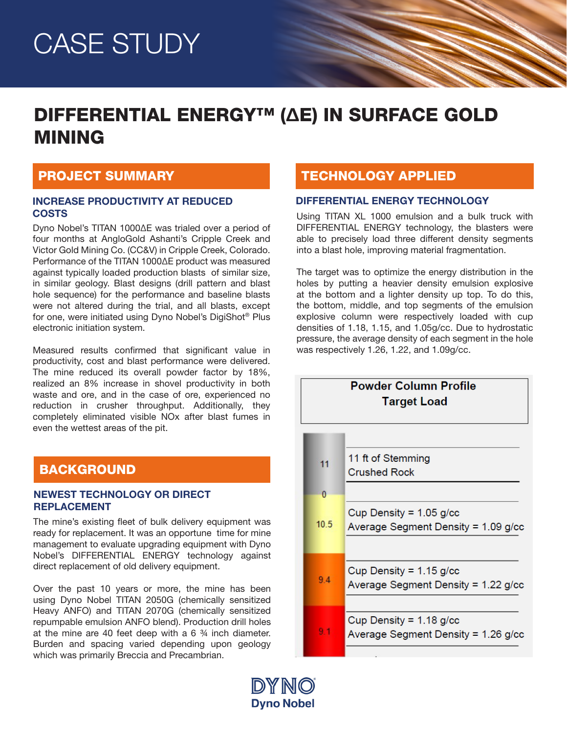# CASE STUDY

## DIFFERENTIAL ENERGY™ (ΔE) IN SURFACE GOLD MINING

## PROJECT SUMMARY

### INCREASE PRODUCTIVITY AT REDUCED **COSTS**

Dyno Nobel's TITAN 1000ΔE was trialed over a period of four months at AngloGold Ashanti's Cripple Creek and Victor Gold Mining Co. (CC&V) in Cripple Creek, Colorado. Performance of the TITAN 1000ΔE product was measured against typically loaded production blasts of similar size, in similar geology. Blast designs (drill pattern and blast hole sequence) for the performance and baseline blasts were not altered during the trial, and all blasts, except for one, were initiated using Dyno Nobel's DigiShot® Plus electronic initiation system.

Measured results confirmed that significant value in productivity, cost and blast performance were delivered. The mine reduced its overall powder factor by 18%, realized an 8% increase in shovel productivity in both waste and ore, and in the case of ore, experienced no reduction in crusher throughput. Additionally, they completely eliminated visible NOx after blast fumes in even the wettest areas of the pit.

## **BACKGROUND**

### NEWEST TECHNOLOGY OR DIRECT REPLACEMENT

The mine's existing fleet of bulk delivery equipment was ready for replacement. It was an opportune time for mine management to evaluate upgrading equipment with Dyno Nobel's DIFFERENTIAL ENERGY technology against direct replacement of old delivery equipment.

Over the past 10 years or more, the mine has been using Dyno Nobel TITAN 2050G (chemically sensitized Heavy ANFO) and TITAN 2070G (chemically sensitized repumpable emulsion ANFO blend). Production drill holes at the mine are 40 feet deep with a 6 ¾ inch diameter. Burden and spacing varied depending upon geology which was primarily Breccia and Precambrian.

## TECHNOLOGY APPLIED

### DIFFERENTIAL ENERGY TECHNOLOGY

Using TITAN XL 1000 emulsion and a bulk truck with DIFFERENTIAL ENERGY technology, the blasters were able to precisely load three different density segments into a blast hole, improving material fragmentation.

The target was to optimize the energy distribution in the holes by putting a heavier density emulsion explosive at the bottom and a lighter density up top. To do this, the bottom, middle, and top segments of the emulsion explosive column were respectively loaded with cup densities of 1.18, 1.15, and 1.05g/cc. Due to hydrostatic pressure, the average density of each segment in the hole was respectively 1.26, 1.22, and 1.09g/cc.